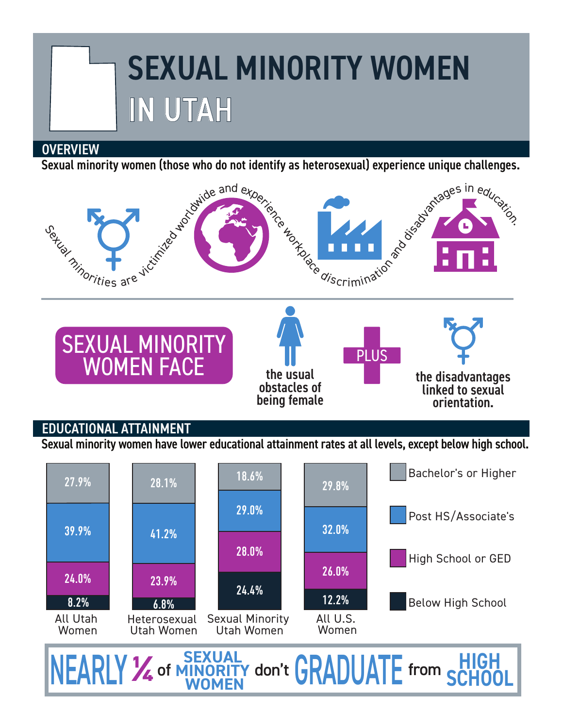# SEXUAL MINORITY WOMEN IN UTAH

#### **OVERVIEW**

Sexual minority women (those who do not identify as heterosexual) experience unique challenges.



## EDUCATIONAL ATTAINMENT

Sexual minority women have lower educational attainment rates at all levels, except below high school.